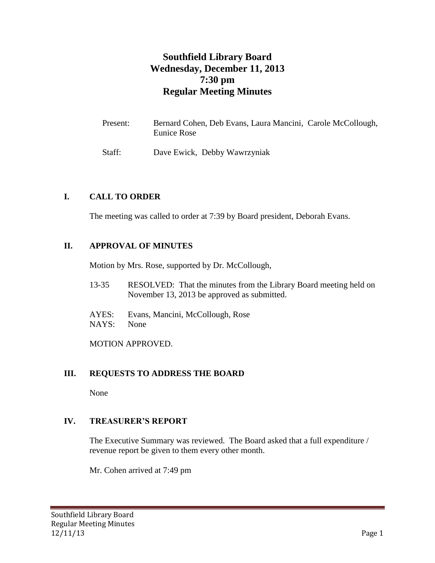# **Southfield Library Board Wednesday, December 11, 2013 7:30 pm Regular Meeting Minutes**

| Present: | Bernard Cohen, Deb Evans, Laura Mancini, Carole McCollough,<br>Eunice Rose |
|----------|----------------------------------------------------------------------------|
| Staff:   | Dave Ewick, Debby Wawrzyniak                                               |

## **I. CALL TO ORDER**

The meeting was called to order at 7:39 by Board president, Deborah Evans.

#### **II. APPROVAL OF MINUTES**

Motion by Mrs. Rose, supported by Dr. McCollough,

- 13-35 RESOLVED: That the minutes from the Library Board meeting held on November 13, 2013 be approved as submitted.
- AYES: Evans, Mancini, McCollough, Rose NAYS: None

MOTION APPROVED.

#### **III. REQUESTS TO ADDRESS THE BOARD**

None

#### **IV. TREASURER'S REPORT**

The Executive Summary was reviewed. The Board asked that a full expenditure / revenue report be given to them every other month.

Mr. Cohen arrived at 7:49 pm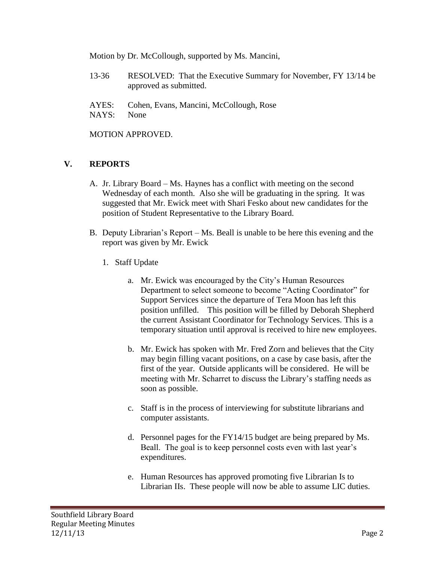Motion by Dr. McCollough, supported by Ms. Mancini,

- 13-36 RESOLVED: That the Executive Summary for November, FY 13/14 be approved as submitted.
- AYES: Cohen, Evans, Mancini, McCollough, Rose NAYS: None

MOTION APPROVED.

# **V. REPORTS**

- A. Jr. Library Board Ms. Haynes has a conflict with meeting on the second Wednesday of each month. Also she will be graduating in the spring. It was suggested that Mr. Ewick meet with Shari Fesko about new candidates for the position of Student Representative to the Library Board.
- B. Deputy Librarian's Report Ms. Beall is unable to be here this evening and the report was given by Mr. Ewick
	- 1. Staff Update
		- a. Mr. Ewick was encouraged by the City's Human Resources Department to select someone to become "Acting Coordinator" for Support Services since the departure of Tera Moon has left this position unfilled. This position will be filled by Deborah Shepherd the current Assistant Coordinator for Technology Services. This is a temporary situation until approval is received to hire new employees.
		- b. Mr. Ewick has spoken with Mr. Fred Zorn and believes that the City may begin filling vacant positions, on a case by case basis, after the first of the year. Outside applicants will be considered. He will be meeting with Mr. Scharret to discuss the Library's staffing needs as soon as possible.
		- c. Staff is in the process of interviewing for substitute librarians and computer assistants.
		- d. Personnel pages for the FY14/15 budget are being prepared by Ms. Beall. The goal is to keep personnel costs even with last year's expenditures.
		- e. Human Resources has approved promoting five Librarian Is to Librarian IIs. These people will now be able to assume LIC duties.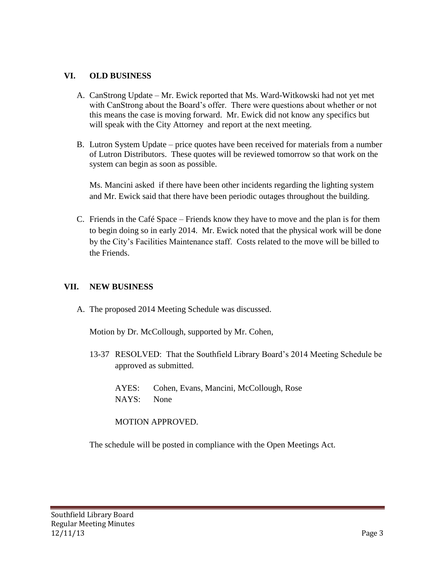## **VI. OLD BUSINESS**

- A. CanStrong Update Mr. Ewick reported that Ms. Ward-Witkowski had not yet met with CanStrong about the Board's offer. There were questions about whether or not this means the case is moving forward. Mr. Ewick did not know any specifics but will speak with the City Attorney and report at the next meeting.
- B. Lutron System Update price quotes have been received for materials from a number of Lutron Distributors. These quotes will be reviewed tomorrow so that work on the system can begin as soon as possible.

Ms. Mancini asked if there have been other incidents regarding the lighting system and Mr. Ewick said that there have been periodic outages throughout the building.

C. Friends in the Café Space – Friends know they have to move and the plan is for them to begin doing so in early 2014. Mr. Ewick noted that the physical work will be done by the City's Facilities Maintenance staff. Costs related to the move will be billed to the Friends.

#### **VII. NEW BUSINESS**

A. The proposed 2014 Meeting Schedule was discussed.

Motion by Dr. McCollough, supported by Mr. Cohen,

13-37 RESOLVED: That the Southfield Library Board's 2014 Meeting Schedule be approved as submitted.

AYES: Cohen, Evans, Mancini, McCollough, Rose NAYS: None

MOTION APPROVED.

The schedule will be posted in compliance with the Open Meetings Act.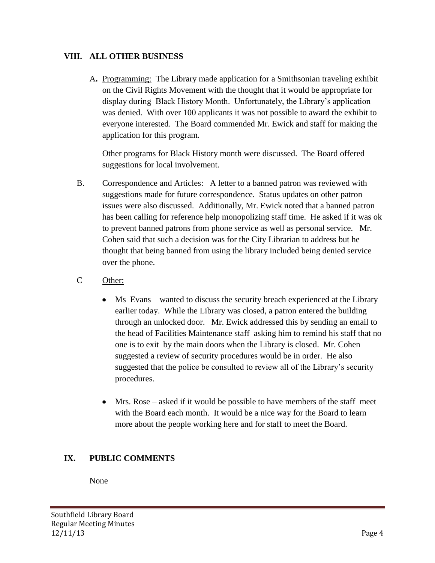# **VIII. ALL OTHER BUSINESS**

A**.** Programming: The Library made application for a Smithsonian traveling exhibit on the Civil Rights Movement with the thought that it would be appropriate for display during Black History Month. Unfortunately, the Library's application was denied. With over 100 applicants it was not possible to award the exhibit to everyone interested. The Board commended Mr. Ewick and staff for making the application for this program.

Other programs for Black History month were discussed. The Board offered suggestions for local involvement.

- B. Correspondence and Articles: A letter to a banned patron was reviewed with suggestions made for future correspondence. Status updates on other patron issues were also discussed. Additionally, Mr. Ewick noted that a banned patron has been calling for reference help monopolizing staff time. He asked if it was ok to prevent banned patrons from phone service as well as personal service. Mr. Cohen said that such a decision was for the City Librarian to address but he thought that being banned from using the library included being denied service over the phone.
- C Other:
	- Ms Evans wanted to discuss the security breach experienced at the Library earlier today. While the Library was closed, a patron entered the building through an unlocked door. Mr. Ewick addressed this by sending an email to the head of Facilities Maintenance staff asking him to remind his staff that no one is to exit by the main doors when the Library is closed. Mr. Cohen suggested a review of security procedures would be in order. He also suggested that the police be consulted to review all of the Library's security procedures.
	- $\bullet$ Mrs. Rose – asked if it would be possible to have members of the staff meet with the Board each month. It would be a nice way for the Board to learn more about the people working here and for staff to meet the Board.

# **IX. PUBLIC COMMENTS**

None